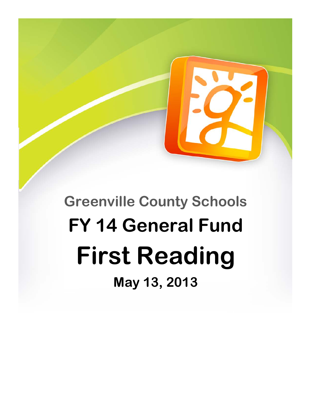**Greenville County Schools FY 14 General Fund First Reading May 13, 2013**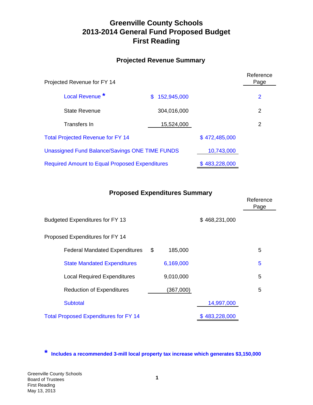# **Greenville County Schools 2013-2014 General Fund Proposed Budget First Reading**

## **Projected Revenue Summary**

| Projected Revenue for FY 14                           |                   |               | Reference<br>Page |
|-------------------------------------------------------|-------------------|---------------|-------------------|
| Local Revenue <sup>*</sup>                            | 152,945,000<br>S. |               | $\overline{2}$    |
| <b>State Revenue</b>                                  | 304,016,000       |               | 2                 |
| Transfers In                                          | 15,524,000        |               | 2                 |
| <b>Total Projected Revenue for FY 14</b>              |                   | \$472,485,000 |                   |
| <b>Unassigned Fund Balance/Savings ONE TIME FUNDS</b> |                   | 10,743,000    |                   |
| <b>Required Amount to Equal Proposed Expenditures</b> | \$483,228,000     |               |                   |

## **Proposed Expenditures Summary**

|                                              |               |               | Reference<br>Page |
|----------------------------------------------|---------------|---------------|-------------------|
| <b>Budgeted Expenditures for FY 13</b>       |               | \$468,231,000 |                   |
| Proposed Expenditures for FY 14              |               |               |                   |
| <b>Federal Mandated Expenditures</b>         | \$<br>185,000 |               | 5                 |
| <b>State Mandated Expenditures</b>           | 6,169,000     |               | 5                 |
| <b>Local Required Expenditures</b>           | 9,010,000     |               | 5                 |
| <b>Reduction of Expenditures</b>             | (367,000)     |               | 5                 |
| <b>Subtotal</b>                              |               | 14,997,000    |                   |
| <b>Total Proposed Expenditures for FY 14</b> |               | \$483,228,000 |                   |

**\* Includes a recommended 3-mill local property tax increase which generates \$3,150,000**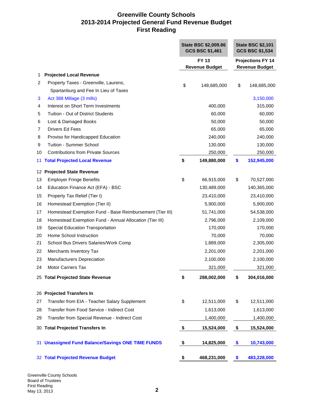÷

|    |                                                          | State BSC \$2,009.86<br><b>GCS BSC \$1,461</b> |                       |                          | <b>State BSC \$2,101</b><br><b>GCS BSC \$1,534</b> |  |
|----|----------------------------------------------------------|------------------------------------------------|-----------------------|--------------------------|----------------------------------------------------|--|
|    |                                                          | <b>FY 13</b>                                   |                       | <b>Projections FY 14</b> |                                                    |  |
|    |                                                          |                                                | <b>Revenue Budget</b> |                          | <b>Revenue Budget</b>                              |  |
| 1  | <b>Projected Local Revenue</b>                           |                                                |                       |                          |                                                    |  |
| 2  | Property Taxes - Greenville, Laurens,                    | \$                                             | 148,685,000           | \$                       | 148,685,000                                        |  |
|    | Spartanburg and Fee In Lieu of Taxes                     |                                                |                       |                          |                                                    |  |
| 3  | Act 388 Millage (3 mills)                                |                                                |                       |                          | 3,150,000                                          |  |
| 4  | Interest on Short Term Investments                       |                                                | 400,000               |                          | 315,000                                            |  |
| 5  | Tuition - Out of District Students                       |                                                | 60,000                |                          | 60,000                                             |  |
| 6  | Lost & Damaged Books                                     |                                                | 50,000                |                          | 50,000                                             |  |
| 7  | <b>Drivers Ed Fees</b>                                   |                                                | 65,000                |                          | 65,000                                             |  |
| 8  | Proviso for Handicapped Education                        |                                                | 240,000               |                          | 240,000                                            |  |
| 9  | <b>Tuition - Summer School</b>                           |                                                | 130,000               |                          | 130,000                                            |  |
| 10 | <b>Contributions from Private Sources</b>                |                                                | 250,000               |                          | 250,000                                            |  |
| 11 | <b>Total Projected Local Revenue</b>                     | \$                                             | 149,880,000           | \$                       | 152,945,000                                        |  |
|    | 12 Projected State Revenue                               |                                                |                       |                          |                                                    |  |
| 13 | <b>Employer Fringe Benefits</b>                          | \$                                             | 66,915,000            | \$                       | 70,527,000                                         |  |
| 14 | Education Finance Act (EFA) - BSC                        |                                                | 130,489,000           |                          | 140,365,000                                        |  |
| 15 | Property Tax Relief (Tier I)                             |                                                | 23,410,000            |                          | 23,410,000                                         |  |
| 16 | Homestead Exemption (Tier II)                            |                                                | 5,900,000             |                          | 5,900,000                                          |  |
| 17 | Homestead Exemption Fund - Base Reimbursement (Tier III) |                                                | 51,741,000            |                          | 54,538,000                                         |  |
| 18 | Homestead Exemption Fund - Annual Allocation (Tier III)  |                                                | 2,796,000             |                          | 2,109,000                                          |  |
| 19 | Special Education Transportation                         |                                                | 170,000               |                          | 170,000                                            |  |
| 20 | Home School Instruction                                  |                                                | 70,000                |                          | 70,000                                             |  |
| 21 | School Bus Drivers Salaries/Work Comp                    |                                                | 1,889,000             |                          | 2,305,000                                          |  |
| 22 | Merchants Inventory Tax                                  |                                                | 2,201,000             |                          | 2,201,000                                          |  |
| 23 | Manufacturers Depreciation                               |                                                | 2,100,000             |                          | 2,100,000                                          |  |
| 24 | <b>Motor Carriers Tax</b>                                |                                                | 321,000               |                          | 321,000                                            |  |
|    | 25 Total Projected State Revenue                         | \$                                             | 288,002,000           | \$                       | 304,016,000                                        |  |
| 26 | <b>Projected Transfers In</b>                            |                                                |                       |                          |                                                    |  |
| 27 | Transfer from EIA - Teacher Salary Supplement            | \$                                             | 12,511,000            | \$                       | 12,511,000                                         |  |
| 28 | Transfer from Food Service - Indirect Cost               |                                                | 1,613,000             |                          | 1,613,000                                          |  |
| 29 | Transfer from Special Revenue - Indirect Cost            |                                                | 1,400,000             |                          | 1,400,000                                          |  |
|    | 30 Total Projected Transfers In                          | \$                                             | 15,524,000            | \$                       | 15,524,000                                         |  |
|    | 31 Unassigned Fund Balance/Savings ONE TIME FUNDS        | \$                                             | 14,825,000            | \$                       | 10,743,000                                         |  |
|    | 32 Total Projected Revenue Budget                        | \$                                             | 468,231,000           | \$                       | 483,228,000                                        |  |

Greenville County Schools Board of Trustees First Reading May 13, 2013 **2**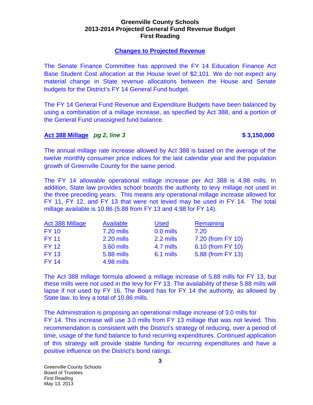#### **Greenville County Schools 2013-2014 Projected General Fund Revenue Budget First Reading**

#### **Changes to Projected Revenue**

The Senate Finance Committee has approved the FY 14 Education Finance Act Base Student Cost allocation at the House level of \$2,101. We do not expect any material change in State revenue allocations between the House and Senate budgets for the District's FY 14 General Fund budget.

The FY 14 General Fund Revenue and Expenditure Budgets have been balanced by using a combination of a millage increase, as specified by Act 388, and a portion of the General Fund unassigned fund balance.

#### **Act 388 Millage**  *pg 2, line 3 \$3,150,000*

The annual millage rate increase allowed by Act 388 is based on the average of the twelve monthly consumer price indices for the last calendar year and the population growth of Greenville County for the same period.

The FY 14 allowable operational millage increase per Act 388 is 4.98 mills. In addition, State law provides school boards the authority to levy millage not used in the three preceding years. This means any operational millage increase allowed for FY 11, FY 12, and FY 13 that were not levied may be used in FY 14. The total millage available is 10.86 (5.88 from FY 13 and 4.98 for FY 14).

| Act 388 Millage | Available         | <b>Used</b> | Remaining         |
|-----------------|-------------------|-------------|-------------------|
| <b>FY 10</b>    | <b>7.20 mills</b> | 0.0 mills   | 7.20              |
| <b>FY 11</b>    | 2.20 mills        | 2.2 mills   | 7.20 (from FY 10) |
| <b>FY 12</b>    | 3.60 mills        | 4.7 mills   | 6.10 (from FY 10) |
| <b>FY 13</b>    | <b>5.88 mills</b> | 6.1 mills   | 5.88 (from FY 13) |
| <b>FY 14</b>    | 4.98 mills        |             |                   |

The Act 388 millage formula allowed a millage increase of 5.88 mills for FY 13, but these mills were not used in the levy for FY 13. The availability of these 5.88 mills will lapse if not used by FY 16. The Board has for FY 14 the authority, as allowed by State law, to levy a total of 10.86 mills.

The Administration is proposing an operational millage increase of 3.0 mills for FY 14. This increase will use 3.0 mills from FY 13 millage that was not levied. This recommendation is consistent with the District's strategy of reducing, over a period of time, usage of the fund balance to fund recurring expenditures. Continued application of this strategy will provide stable funding for recurring expenditures and have a positive influence on the District's bond ratings.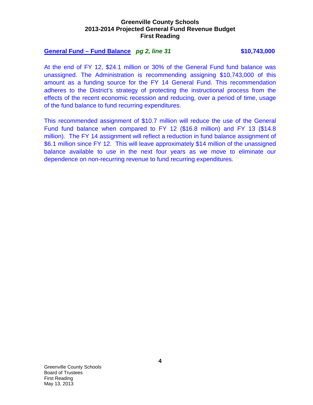#### **Greenville County Schools 2013-2014 Projected General Fund Revenue Budget First Reading**

#### **General Fund – Fund Balance** *pg 2, line 31* **\$10,743,000**

At the end of FY 12, \$24.1 million or 30% of the General Fund fund balance was unassigned. The Administration is recommending assigning \$10,743,000 of this amount as a funding source for the FY 14 General Fund. This recommendation adheres to the District's strategy of protecting the instructional process from the effects of the recent economic recession and reducing, over a period of time, usage of the fund balance to fund recurring expenditures.

This recommended assignment of \$10.7 million will reduce the use of the General Fund fund balance when compared to FY 12 (\$16.8 million) and FY 13 (\$14.8 million). The FY 14 assignment will reflect a reduction in fund balance assignment of \$6.1 million since FY 12. This will leave approximately \$14 million of the unassigned balance available to use in the next four years as we move to eliminate our dependence on non-recurring revenue to fund recurring expenditures.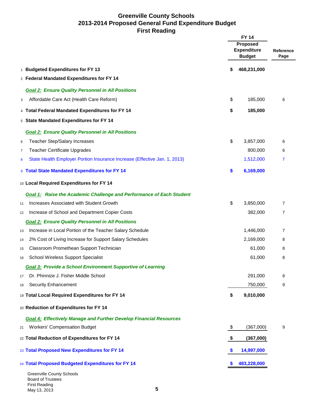|    |                                                                                      |    | <b>FY 14</b><br><b>Proposed</b><br><b>Expenditure</b><br><b>Budget</b> | Reference<br>Page |
|----|--------------------------------------------------------------------------------------|----|------------------------------------------------------------------------|-------------------|
|    | 1 Budgeted Expenditures for FY 13                                                    | \$ | 468,231,000                                                            |                   |
|    | 2 Federal Mandated Expenditures for FY 14                                            |    |                                                                        |                   |
|    | <b>Goal 2: Ensure Quality Personnel in All Positions</b>                             |    |                                                                        |                   |
| 3  | Affordable Care Act (Health Care Reform)                                             | \$ | 185,000                                                                | 6                 |
|    | 4 Total Federal Mandated Expenditures for FY 14                                      | \$ | 185,000                                                                |                   |
|    | 5 State Mandated Expenditures for FY 14                                              |    |                                                                        |                   |
|    | <b>Goal 2: Ensure Quality Personnel in All Positions</b>                             |    |                                                                        |                   |
| 6  | <b>Teacher Step/Salary Increases</b>                                                 | \$ | 3,857,000                                                              | 6                 |
| 7  | <b>Teacher Certificate Upgrades</b>                                                  |    | 800,000                                                                | 6                 |
| 8  | State Health Employer Portion Insurance Increase (Effective Jan. 1, 2013)            |    | 1,512,000                                                              | 7                 |
|    | 9 Total State Mandated Expenditures for FY 14                                        | \$ | 6,169,000                                                              |                   |
|    | 10 Local Required Expenditures for FY 14                                             |    |                                                                        |                   |
|    | <b>Goal 1: Raise the Academic Challenge and Performance of Each Student</b>          |    |                                                                        |                   |
| 11 | Increases Associated with Student Growth                                             | \$ | 3,850,000                                                              | $\overline{7}$    |
| 12 | Increase of School and Department Copier Costs                                       |    | 382,000                                                                | $\overline{7}$    |
|    | <b>Goal 2: Ensure Quality Personnel in All Positions</b>                             |    |                                                                        |                   |
| 13 | Increase in Local Portion of the Teacher Salary Schedule                             |    | 1,446,000                                                              | 7                 |
| 14 | 2% Cost of Living Increase for Support Salary Schedules                              |    | 2,169,000                                                              | 8                 |
| 15 | Classroom Promethean Support Technician                                              |    | 61,000                                                                 | 8                 |
| 16 | <b>School Wireless Support Specialist</b>                                            |    | 61,000                                                                 | 8                 |
|    | <b>Goal 3: Provide a School Environment Supportive of Learning</b>                   |    |                                                                        |                   |
| 17 | Dr. Phinnize J. Fisher Middle School                                                 |    | 291,000                                                                | 8                 |
| 18 | <b>Security Enhancement</b>                                                          |    | 750,000                                                                | 9                 |
|    | 19 Total Local Required Expenditures for FY 14                                       | \$ | 9,010,000                                                              |                   |
|    | 20 Reduction of Expenditures for FY 14                                               |    |                                                                        |                   |
|    | <b>Goal 4: Effectively Manage and Further Develop Financial Resources</b>            |    |                                                                        |                   |
| 21 | <b>Workers' Compensation Budget</b>                                                  | \$ | (367,000)                                                              | 9                 |
|    | 22 Total Reduction of Expenditures for FY 14                                         | \$ | (367,000)                                                              |                   |
|    | 23 Total Proposed New Expenditures for FY 14                                         | S  | 14,997,000                                                             |                   |
|    | 24 Total Proposed Budgeted Expenditures for FY 14                                    |    | 483,228,000                                                            |                   |
|    | <b>Greenville County Schools</b><br><b>Board of Trustees</b><br><b>First Reading</b> |    |                                                                        |                   |
|    | 5<br>May 13, 2013                                                                    |    |                                                                        |                   |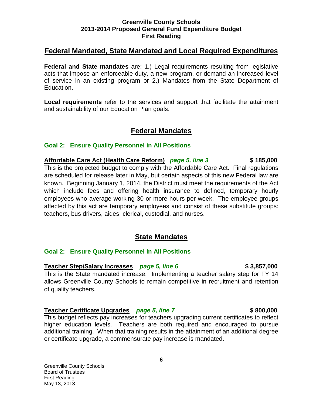## **Federal Mandated, State Mandated and Local Required Expenditures**

**Federal and State mandates** are: 1.) Legal requirements resulting from legislative acts that impose an enforceable duty, a new program, or demand an increased level of service in an existing program or 2.) Mandates from the State Department of Education.

**Local requirements** refer to the services and support that facilitate the attainment and sustainability of our Education Plan goals.

## **Federal Mandates**

#### **Goal 2: Ensure Quality Personnel in All Positions**

**Affordable Care Act (Health Care Reform)** *page 5, line 3* **\$ 185,000** This is the projected budget to comply with the Affordable Care Act. Final regulations are scheduled for release later in May, but certain aspects of this new Federal law are known. Beginning January 1, 2014, the District must meet the requirements of the Act which include fees and offering health insurance to defined, temporary hourly employees who average working 30 or more hours per week. The employee groups affected by this act are temporary employees and consist of these substitute groups: teachers, bus drivers, aides, clerical, custodial, and nurses.

## **State Mandates**

#### **Goal 2: Ensure Quality Personnel in All Positions**

**Teacher Step/Salary Increases** *page 5, line 6* **\$ 3,857,000** This is the State mandated increase. Implementing a teacher salary step for FY 14 allows Greenville County Schools to remain competitive in recruitment and retention of quality teachers.

#### **Teacher Certificate Upgrades** *page 5, line 7* **\$ 800,000**

This budget reflects pay increases for teachers upgrading current certificates to reflect higher education levels. Teachers are both required and encouraged to pursue additional training. When that training results in the attainment of an additional degree or certificate upgrade, a commensurate pay increase is mandated.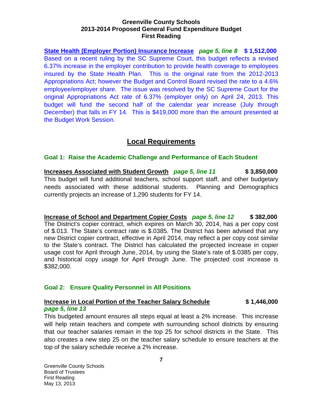**State Health (Employer Portion) Insurance Increase** *page 5, line 8* **\$ 1,512,000** Based on a recent ruling by the SC Supreme Court, this budget reflects a revised 6.37% increase in the employer contribution to provide health coverage to employees insured by the State Health Plan. This is the original rate from the 2012-2013 Appropriations Act; however the Budget and Control Board revised the rate to a 4.6% employee/employer share. The issue was resolved by the SC Supreme Court for the original Appropriations Act rate of 6.37% (employer only) on April 24, 2013. This budget will fund the second half of the calendar year increase (July through December) that falls in FY 14. This is \$419,000 more than the amount presented at the Budget Work Session.

# **Local Requirements**

## **Goal 1: Raise the Academic Challenge and Performance of Each Student**

**Increases Associated with Student Growth** *page 5, line 11* **\$ 3,850,000** This budget will fund additional teachers, school support staff, and other budgetary needs associated with these additional students. Planning and Demographics currently projects an increase of 1,290 students for FY 14.

**Increase of School and Department Copier Costs** *page 5, line 12* **\$ 382,000** The District's copier contract, which expires on March 30, 2014, has a per copy cost of \$.013. The State's contract rate is \$.0385. The District has been advised that any new District copier contract, effective in April 2014, may reflect a per copy cost similar to the State's contract. The District has calculated the projected increase in copier usage cost for April through June, 2014, by using the State's rate of \$.0385 per copy, and historical copy usage for April through June. The projected cost increase is \$382,000.

## **Goal 2: Ensure Quality Personnel in All Positions**

## **Increase in Local Portion of the Teacher Salary Schedule \$ 1,446,000** *page 5, line 13*

This budgeted amount ensures all steps equal at least a 2% increase. This increase will help retain teachers and compete with surrounding school districts by ensuring that our teacher salaries remain in the top 25 for school districts in the State. This also creates a new step 25 on the teacher salary schedule to ensure teachers at the top of the salary schedule receive a 2% increase.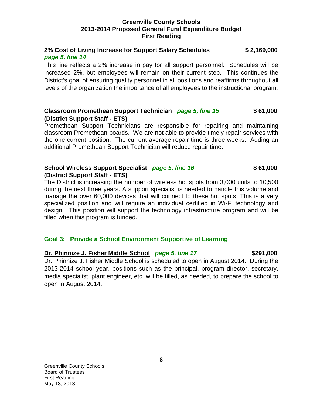## **2% Cost of Living Increase for Support Salary Schedules \$ 2,169,000** *page 5, line 14*

This line reflects a 2% increase in pay for all support personnel. Schedules will be increased 2%, but employees will remain on their current step. This continues the District's goal of ensuring quality personnel in all positions and reaffirms throughout all levels of the organization the importance of all employees to the instructional program.

## **Classroom Promethean Support Technician** *page 5, line 15* **\$ 61,000 (District Support Staff - ETS)**

Promethean Support Technicians are responsible for repairing and maintaining classroom Promethean boards. We are not able to provide timely repair services with the one current position. The current average repair time is three weeks. Adding an additional Promethean Support Technician will reduce repair time.

#### **School Wireless Support Specialist** *page 5, line 16* **\$ 61,000 (District Support Staff - ETS)**

The District is increasing the number of wireless hot spots from 3,000 units to 10,500 during the next three years. A support specialist is needed to handle this volume and manage the over 60,000 devices that will connect to these hot spots. This is a very specialized position and will require an individual certified in Wi-Fi technology and design. This position will support the technology infrastructure program and will be filled when this program is funded.

## **Goal 3: Provide a School Environment Supportive of Learning**

## **Dr. Phinnize J. Fisher Middle School** *page 5, line 17* **\$291,000**

Dr. Phinnize J. Fisher Middle School is scheduled to open in August 2014. During the 2013-2014 school year, positions such as the principal, program director, secretary, media specialist, plant engineer, etc. will be filled, as needed, to prepare the school to open in August 2014.